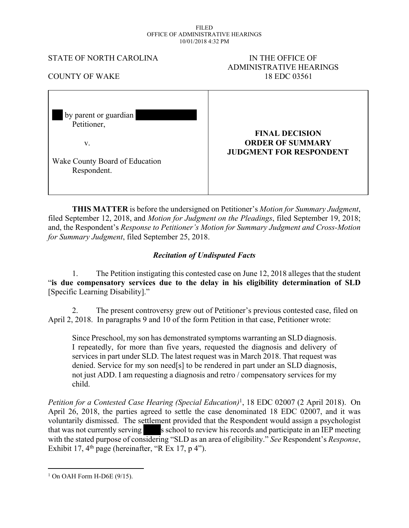#### FILED OFFICE OF ADMINISTRATIVE HEARINGS 10/01/2018 4:32 PM

#### STATE OF NORTH CAROLINA IN THE OFFICE OF

# ADMINISTRATIVE HEARINGS COUNTY OF WAKE 18 EDC 03561

| by parent or guardian          |                                |
|--------------------------------|--------------------------------|
| Petitioner,                    |                                |
|                                | <b>FINAL DECISION</b>          |
| V.                             | <b>ORDER OF SUMMARY</b>        |
|                                | <b>JUDGMENT FOR RESPONDENT</b> |
| Wake County Board of Education |                                |
| Respondent.                    |                                |
|                                |                                |
|                                |                                |

**THIS MATTER** is before the undersigned on Petitioner's *Motion for Summary Judgment*, filed September 12, 2018, and *Motion for Judgment on the Pleadings*, filed September 19, 2018; and, the Respondent's *Response to Petitioner's Motion for Summary Judgment and Cross-Motion for Summary Judgment*, filed September 25, 2018.

## *Recitation of Undisputed Facts*

1. The Petition instigating this contested case on June 12, 2018 alleges that the student "**is due compensatory services due to the delay in his eligibility determination of SLD** [Specific Learning Disability]."

2. The present controversy grew out of Petitioner's previous contested case, filed on April 2, 2018. In paragraphs 9 and 10 of the form Petition in that case, Petitioner wrote:

Since Preschool, my son has demonstrated symptoms warranting an SLD diagnosis. I repeatedly, for more than five years, requested the diagnosis and delivery of services in part under SLD. The latest request was in March 2018. That request was denied. Service for my son need[s] to be rendered in part under an SLD diagnosis, not just ADD. I am requesting a diagnosis and retro / compensatory services for my child.

*Petition for a Contested Case Hearing (Special Education)*<sup>1</sup> , 18 EDC 02007 (2 April 2018). On April 26, 2018, the parties agreed to settle the case denominated 18 EDC 02007, and it was voluntarily dismissed. The settlement provided that the Respondent would assign a psychologist that was not currently serving s school to review his records and participate in an IEP meeting with the stated purpose of considering "SLD as an area of eligibility." *See* Respondent's *Response*, Exhibit 17,  $4<sup>th</sup>$  page (hereinafter, "R Ex 17, p 4").

<sup>1</sup> On OAH Form H-D6E (9/15).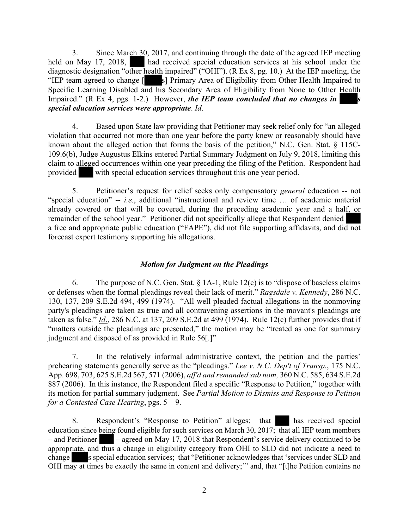3. Since March 30, 2017, and continuing through the date of the agreed IEP meeting held on May 17, 2018, had received special education services at his school under the diagnostic designation "other health impaired" ("OHI"). (R Ex 8, pg. 10.) At the IEP meeting, the "IEP team agreed to change [ s] Primary Area of Eligibility from Other Health Impaired to Specific Learning Disabled and his Secondary Area of Eligibility from None to Other Health Impaired." (R Ex 4, pgs. 1-2.) However, *the IEP team concluded that no changes in special education services were appropriate*. *Id*.

4. Based upon State law providing that Petitioner may seek relief only for "an alleged violation that occurred not more than one year before the party knew or reasonably should have known about the alleged action that forms the basis of the petition," N.C. Gen. Stat. § 115C-109.6(b), Judge Augustus Elkins entered Partial Summary Judgment on July 9, 2018, limiting this claim to alleged occurrences within one year preceding the filing of the Petition. Respondent had provided with special education services throughout this one year period.

5. Petitioner's request for relief seeks only compensatory *general* education -- not "special education" -- *i.e.*, additional "instructional and review time … of academic material already covered or that will be covered, during the preceding academic year and a half, or remainder of the school year." Petitioner did not specifically allege that Respondent denied a free and appropriate public education ("FAPE"), did not file supporting affidavits, and did not forecast expert testimony supporting his allegations.

## *Motion for Judgment on the Pleadings*

6. The purpose of N.C. Gen. Stat.  $\S$  1A-1, Rule 12(c) is to "dispose of baseless claims or defenses when the formal pleadings reveal their lack of merit." *Ragsdale v. Kennedy*, 286 N.C. 130, 137, 209 S.E.2d 494, 499 (1974). "All well pleaded factual allegations in the nonmoving party's pleadings are taken as true and all contravening assertions in the movant's pleadings are taken as false." *Id*., 286 N.C. at 137, 209 S.E.2d at 499 (1974). Rule 12(c) further provides that if "matters outside the pleadings are presented," the motion may be "treated as one for summary judgment and disposed of as provided in Rule 56[.]"

7. In the relatively informal administrative context, the petition and the parties' prehearing statements generally serve as the "pleadings." *Lee v. N.C. Dep't of Transp.*, 175 N.C. App. 698, 703, 625 S.E.2d 567, 571 (2006), *aff'd and remanded sub nom,* 360 N.C. 585, 634 S.E.2d 887 (2006). In this instance, the Respondent filed a specific "Response to Petition," together with its motion for partial summary judgment. See *Partial Motion to Dismiss and Response to Petition for a Contested Case Hearing*, pgs. 5 – 9.

8. Respondent's "Response to Petition" alleges: that has received special education since being found eligible for such services on March 30, 2017; that all IEP team members – and Petitioner – agreed on May 17, 2018 that Respondent's service delivery continued to be appropriate, and thus a change in eligibility category from OHI to SLD did not indicate a need to change s special education services; that "Petitioner acknowledges that 'services under SLD and OHI may at times be exactly the same in content and delivery;'" and, that "[t]he Petition contains no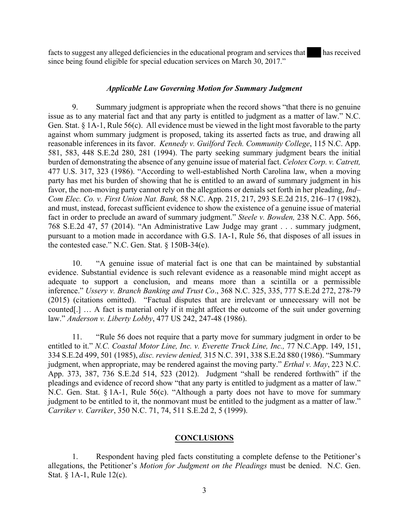facts to suggest any alleged deficiencies in the educational program and services that has received since being found eligible for special education services on March 30, 2017."

### *Applicable Law Governing Motion for Summary Judgment*

9. Summary judgment is appropriate when the record shows "that there is no genuine issue as to any material fact and that any party is entitled to judgment as a matter of law." N.C. Gen. Stat. § 1A-1, Rule 56(c). All evidence must be viewed in the light most favorable to the party against whom summary judgment is proposed, taking its asserted facts as true, and drawing all reasonable inferences in its favor. *Kennedy v. Guilford Tech. Community College*, 115 N.C. App. 581, 583, 448 S.E.2d 280, 281 (1994). The party seeking summary judgment bears the initial burden of demonstrating the absence of any genuine issue of material fact. *Celotex Corp. v. Catrett,*  477 U.S. 317, 323 (1986). "According to well-established North Carolina law, when a moving party has met his burden of showing that he is entitled to an award of summary judgment in his favor, the non-moving party cannot rely on the allegations or denials set forth in her pleading, *Ind– Com Elec. Co. v. First Union Nat. Bank,* 58 N.C. App. 215, 217, 293 S.E.2d 215, 216–17 (1982), and must, instead, forecast sufficient evidence to show the existence of a genuine issue of material fact in order to preclude an award of summary judgment." *Steele v. Bowden,* 238 N.C. App. 566, 768 S.E.2d 47, 57 (2014). "An Administrative Law Judge may grant . . . summary judgment, pursuant to a motion made in accordance with G.S. 1A-1, Rule 56, that disposes of all issues in the contested case." N.C. Gen. Stat. § 150B-34(e).

10. "A genuine issue of material fact is one that can be maintained by substantial evidence. Substantial evidence is such relevant evidence as a reasonable mind might accept as adequate to support a conclusion, and means more than a scintilla or a permissible inference." *Ussery v. Branch Banking and Trust Co*., 368 N.C. 325, 335, 777 S.E.2d 272, 278-79 (2015) (citations omitted). "Factual disputes that are irrelevant or unnecessary will not be counted[.] … A fact is material only if it might affect the outcome of the suit under governing law." *Anderson v. Liberty Lobby*, 477 US 242, 247-48 (1986).

11. "Rule 56 does not require that a party move for summary judgment in order to be entitled to it." *N.C. Coastal Motor Line, Inc. v. Everette Truck Line, Inc.,* 77 N.C.App. 149, 151, 334 S.E.2d 499, 501 (1985), *disc. review denied,* 315 N.C. 391, 338 S.E.2d 880 (1986). "Summary judgment, when appropriate, may be rendered against the moving party." *Erthal v. May*, 223 N.C. App. 373, 387, 736 S.E.2d 514, 523 (2012). Judgment "shall be rendered forthwith" if the pleadings and evidence of record show "that any party is entitled to judgment as a matter of law." N.C. Gen. Stat. § 1A-1, Rule 56(c). "Although a party does not have to move for summary judgment to be entitled to it, the nonmovant must be entitled to the judgment as a matter of law." *Carriker v. Carriker*, 350 N.C. 71, 74, 511 S.E.2d 2, 5 (1999).

## **CONCLUSIONS**

1. Respondent having pled facts constituting a complete defense to the Petitioner's allegations, the Petitioner's *Motion for Judgment on the Pleadings* must be denied. N.C. Gen. Stat. § 1A-1, Rule 12(c).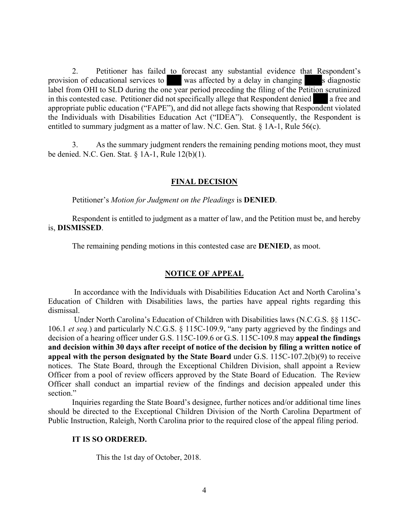2. Petitioner has failed to forecast any substantial evidence that Respondent's provision of educational services to was affected by a delay in changing s diagnostic label from OHI to SLD during the one year period preceding the filing of the Petition scrutinized in this contested case. Petitioner did not specifically allege that Respondent denied a free and appropriate public education ("FAPE"), and did not allege facts showing that Respondent violated the Individuals with Disabilities Education Act ("IDEA"). Consequently, the Respondent is entitled to summary judgment as a matter of law. N.C. Gen. Stat. § 1A-1, Rule 56(c).

3. As the summary judgment renders the remaining pending motions moot, they must be denied. N.C. Gen. Stat. § 1A-1, Rule 12(b)(1).

#### **FINAL DECISION**

Petitioner's *Motion for Judgment on the Pleadings* is **DENIED**.

Respondent is entitled to judgment as a matter of law, and the Petition must be, and hereby is, **DISMISSED**.

The remaining pending motions in this contested case are **DENIED**, as moot.

#### **NOTICE OF APPEAL**

 In accordance with the Individuals with Disabilities Education Act and North Carolina's Education of Children with Disabilities laws, the parties have appeal rights regarding this dismissal.

 Under North Carolina's Education of Children with Disabilities laws (N.C.G.S. §§ 115C-106.1 *et seq.*) and particularly N.C.G.S. § 115C-109.9, "any party aggrieved by the findings and decision of a hearing officer under G.S. 115C-109.6 or G.S. 115C-109.8 may **appeal the findings and decision within 30 days after receipt of notice of the decision by filing a written notice of appeal with the person designated by the State Board** under G.S. 115C-107.2(b)(9) to receive notices. The State Board, through the Exceptional Children Division, shall appoint a Review Officer from a pool of review officers approved by the State Board of Education. The Review Officer shall conduct an impartial review of the findings and decision appealed under this section."

 Inquiries regarding the State Board's designee, further notices and/or additional time lines should be directed to the Exceptional Children Division of the North Carolina Department of Public Instruction, Raleigh, North Carolina prior to the required close of the appeal filing period.

#### **IT IS SO ORDERED.**

This the 1st day of October, 2018.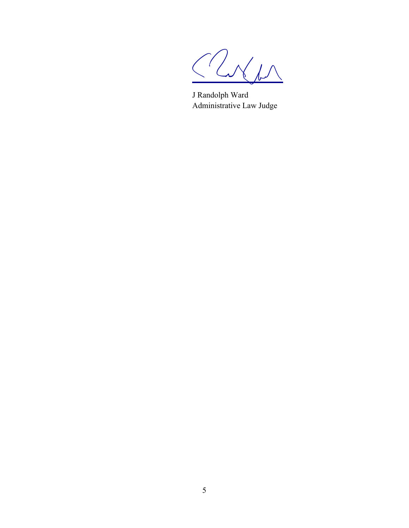$7<sub>M</sub>$ 

J Randolph Ward Administrative Law Judge